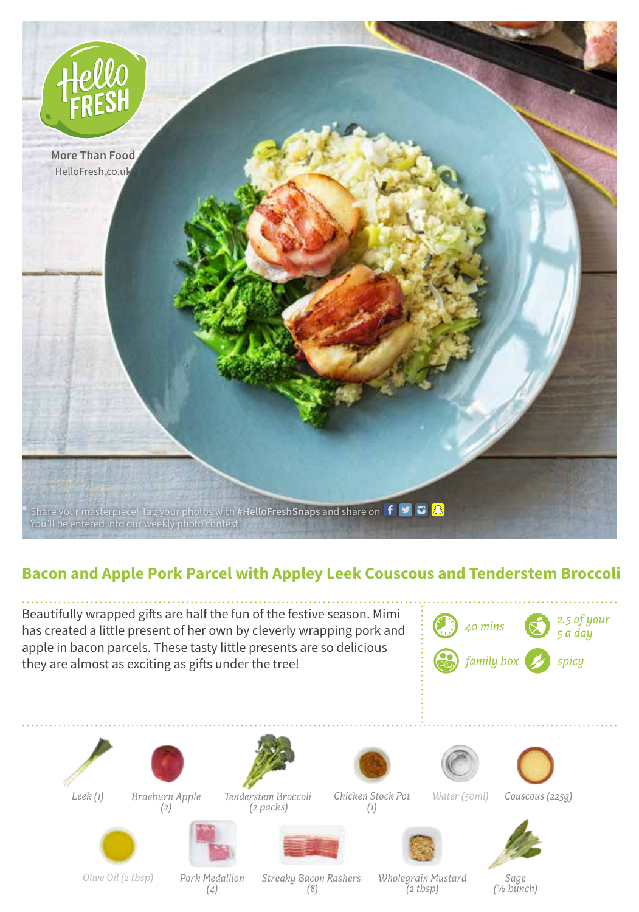

## **Bacon and Apple Pork Parcel with Appley Leek Couscous and Tenderstem Broccoli**

Beautifully wrapped gifts are half the fun of the festive season. Mimi has created a little present of her own by cleverly wrapping pork and apple in bacon parcels. These tasty little presents are so delicious they are almost as exciting as gifts under the tree!







*Leek (1) Braeburn Apple* 

*(2)*

*(1)*



*Water (50ml)*



*Couscous (225g)*



*Olive Oil (2 tbsp)*

*Pork Medallion (4)*

*Streaky Bacon Rashers (8)*

*Wholegrain Mustard (2 tbsp)*

*Sage (½ bunch)*



*Tenderstem Broccoli*